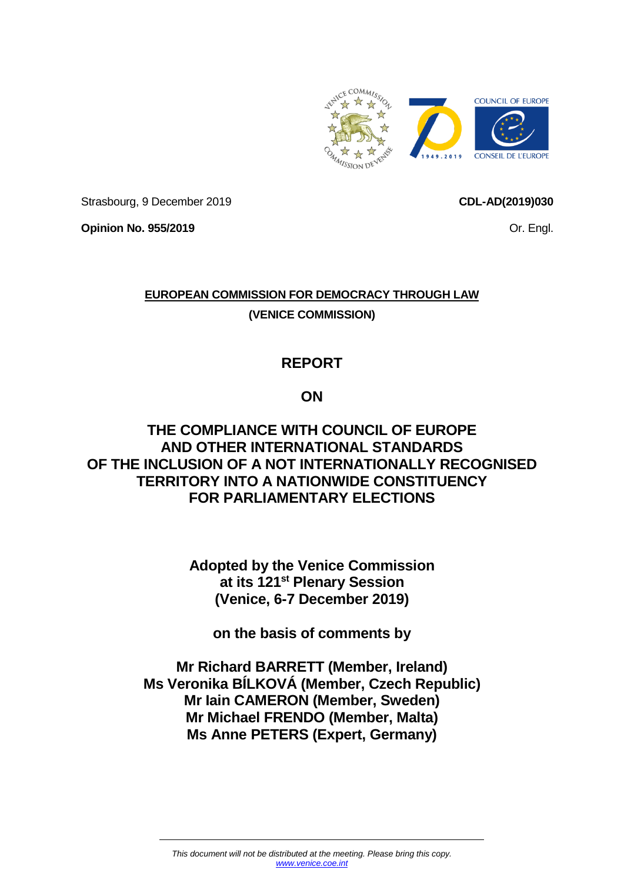

Strasbourg, 9 December 2019

**CDL-AD(2019)030**

**Opinion No. 955/2019**

Or. Engl.

# **EUROPEAN COMMISSION FOR DEMOCRACY THROUGH LAW (VENICE COMMISSION)**

# **REPORT**

## **ON**

### **THE COMPLIANCE WITH COUNCIL OF EUROPE AND OTHER INTERNATIONAL STANDARDS OF THE INCLUSION OF A NOT INTERNATIONALLY RECOGNISED TERRITORY INTO A NATIONWIDE CONSTITUENCY FOR PARLIAMENTARY ELECTIONS**

**Adopted by the Venice Commission at its 121st Plenary Session (Venice, 6-7 December 2019)**

**on the basis of comments by**

**Mr Richard BARRETT (Member, Ireland) Ms Veronika BÍLKOVÁ (Member, Czech Republic) Mr Iain CAMERON (Member, Sweden) Mr Michael FRENDO (Member, Malta) Ms Anne PETERS (Expert, Germany)**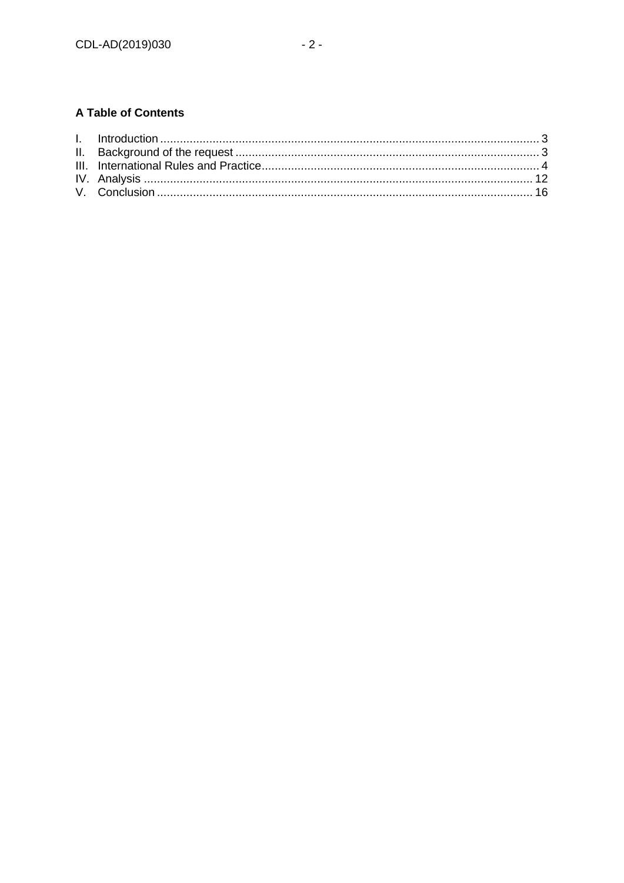### **A Table of Contents**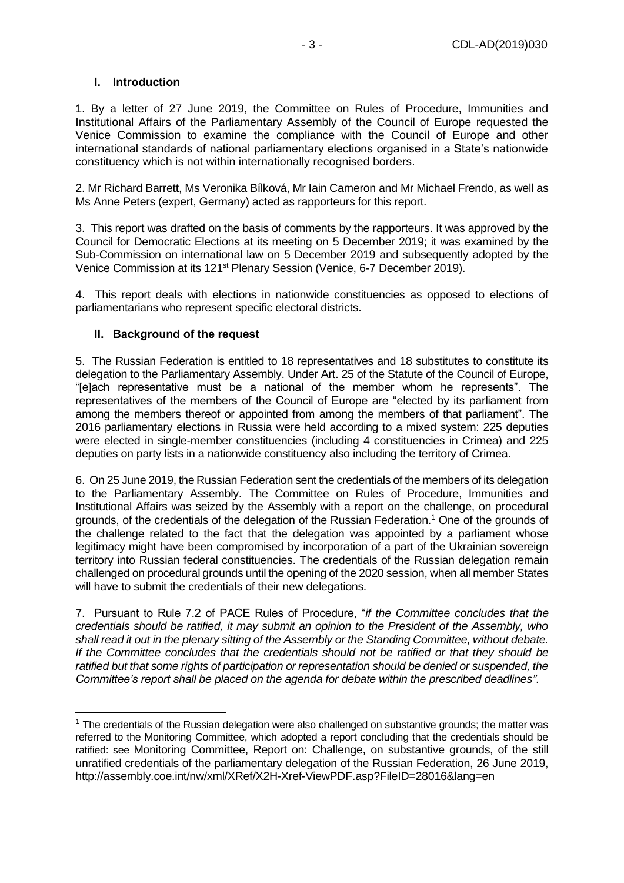#### <span id="page-2-0"></span>**I. Introduction**

1. By a letter of 27 June 2019, the Committee on Rules of Procedure, Immunities and Institutional Affairs of the Parliamentary Assembly of the Council of Europe requested the Venice Commission to examine the compliance with the Council of Europe and other international standards of national parliamentary elections organised in a State's nationwide constituency which is not within internationally recognised borders.

2. Mr Richard Barrett, Ms Veronika Bílková, Mr Iain Cameron and Mr Michael Frendo, as well as Ms Anne Peters (expert, Germany) acted as rapporteurs for this report.

3. This report was drafted on the basis of comments by the rapporteurs. It was approved by the Council for Democratic Elections at its meeting on 5 December 2019; it was examined by the Sub-Commission on international law on 5 December 2019 and subsequently adopted by the Venice Commission at its 121st Plenary Session (Venice, 6-7 December 2019).

4. This report deals with elections in nationwide constituencies as opposed to elections of parliamentarians who represent specific electoral districts.

#### <span id="page-2-1"></span>**II. Background of the request**

<span id="page-2-2"></span>-

5. The Russian Federation is entitled to 18 representatives and 18 substitutes to constitute its delegation to the Parliamentary Assembly. Under Art. 25 of the Statute of the Council of Europe, "[e]ach representative must be a national of the member whom he represents". The representatives of the members of the Council of Europe are "elected by its parliament from among the members thereof or appointed from among the members of that parliament". The 2016 parliamentary elections in Russia were held according to a mixed system: 225 deputies were elected in single-member constituencies (including 4 constituencies in Crimea) and 225 deputies on party lists in a nationwide constituency also including the territory of Crimea.

6. On 25 June 2019, the Russian Federation sent the credentials of the members of its delegation to the Parliamentary Assembly. The Committee on Rules of Procedure, Immunities and Institutional Affairs was seized by the Assembly with a report on the challenge, on procedural grounds, of the credentials of the delegation of the Russian Federation. <sup>1</sup> One of the grounds of the challenge related to the fact that the delegation was appointed by a parliament whose legitimacy might have been compromised by incorporation of a part of the Ukrainian sovereign territory into Russian federal constituencies. The credentials of the Russian delegation remain challenged on procedural grounds until the opening of the 2020 session, when all member States will have to submit the credentials of their new delegations.

7. Pursuant to Rule 7.2 of PACE Rules of Procedure, "*if the Committee concludes that the credentials should be ratified, it may submit an opinion to the President of the Assembly, who shall read it out in the plenary sitting of the Assembly or the Standing Committee, without debate. If the Committee concludes that the credentials should not be ratified or that they should be ratified but that some rights of participation or representation should be denied or suspended, the Committee's report shall be placed on the agenda for debate within the prescribed deadlines"*.

 $<sup>1</sup>$  The credentials of the Russian delegation were also challenged on substantive grounds; the matter was</sup> referred to the Monitoring Committee, which adopted a report concluding that the credentials should be ratified: see Monitoring Committee, Report on: Challenge, on substantive grounds, of the still unratified credentials of the parliamentary delegation of the Russian Federation, 26 June 2019, <http://assembly.coe.int/nw/xml/XRef/X2H-Xref-ViewPDF.asp?FileID=28016&lang=en>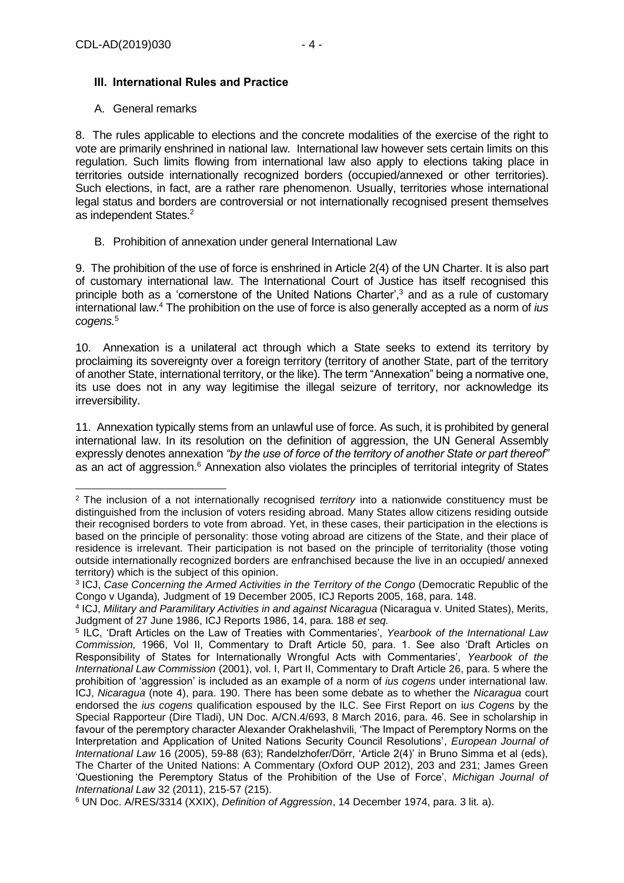#### **III. International Rules and Practice**

#### A. General remarks

8. The rules applicable to elections and the concrete modalities of the exercise of the right to vote are primarily enshrined in national law. International law however sets certain limits on this regulation. Such limits flowing from international law also apply to elections taking place in territories outside internationally recognized borders (occupied/annexed or other territories). Such elections, in fact, are a rather rare phenomenon. Usually, territories whose international legal status and borders are controversial or not internationally recognised present themselves as independent States.<sup>2</sup>

#### B. Prohibition of annexation under general International Law

9. The prohibition of the use of force is enshrined in Article 2(4) of the UN Charter. It is also part of customary international law. The International Court of Justice has itself recognised this principle both as a 'cornerstone of the United Nations Charter',<sup>3</sup> and as a rule of customary international law.<sup>4</sup> The prohibition on the use of force is also generally accepted as a norm of *ius cogens.*<sup>5</sup>

<span id="page-3-0"></span>10. Annexation is a unilateral act through which a State seeks to extend its territory by proclaiming its sovereignty over a foreign territory (territory of another State, part of the territory of another State, international territory, or the like). The term "Annexation" being a normative one, its use does not in any way legitimise the illegal seizure of territory, nor acknowledge its irreversibility.

11. Annexation typically stems from an unlawful use of force. As such, it is prohibited by general international law. In its resolution on the definition of aggression, the UN General Assembly expressly denotes annexation *"by the use of force of the territory of another State or part thereof"* as an act of aggression.<sup>6</sup> Annexation also violates the principles of territorial integrity of States

<sup>-</sup><sup>2</sup> The inclusion of a not internationally recognised *territory* into a nationwide constituency must be distinguished from the inclusion of voters residing abroad. Many States allow citizens residing outside their recognised borders to vote from abroad. Yet, in these cases, their participation in the elections is based on the principle of personality: those voting abroad are citizens of the State, and their place of residence is irrelevant. Their participation is not based on the principle of territoriality (those voting outside internationally recognized borders are enfranchised because the live in an occupied/ annexed territory) which is the subject of this opinion.

<sup>&</sup>lt;sup>3</sup> ICJ, *Case Concerning the Armed Activities in the Territory of the Congo (Democratic Republic of the* Congo v Uganda)*,* Judgment of 19 December 2005, ICJ Reports 2005, 168, para. 148.

<sup>4</sup> ICJ, *Military and Paramilitary Activities in and against Nicaragua* (Nicaragua v. United States), Merits, Judgment of 27 June 1986, ICJ Reports 1986, 14, para. 188 *et seq.*

<sup>5</sup> ILC, 'Draft Articles on the Law of Treaties with Commentaries', *Yearbook of the International Law Commission,* 1966, Vol II, Commentary to Draft Article 50, para. 1. See also 'Draft Articles on Responsibility of States for Internationally Wrongful Acts with Commentaries', *Yearbook of the International Law Commission* (2001), vol. I, Part II, Commentary to Draft Article 26, para. 5 where the prohibition of 'aggression' is included as an example of a norm of *ius cogens* under international law. ICJ, *Nicaragua* (note [4\)](#page-3-0), para. 190. There has been some debate as to whether the *Nicaragua* court endorsed the *ius cogens* qualification espoused by the ILC. See First Report on i*us Cogens* by the Special Rapporteur (Dire Tladi), UN Doc. A/CN.4/693, 8 March 2016, para. 46. See in scholarship in favour of the peremptory character Alexander Orakhelashvili, 'The Impact of Peremptory Norms on the Interpretation and Application of United Nations Security Council Resolutions', *European Journal of International Law* 16 (2005), 59-88 (63); Randelzhofer/Dörr, 'Article 2(4)' in Bruno Simma et al (eds), The Charter of the United Nations: A Commentary (Oxford OUP 2012), 203 and 231; James Green 'Questioning the Peremptory Status of the Prohibition of the Use of Force', *Michigan Journal of International Law* 32 (2011), 215-57 (215).

<sup>6</sup> UN Doc. A/RES/3314 (XXIX), *Definition of Aggression*, 14 December 1974, para. 3 lit. a).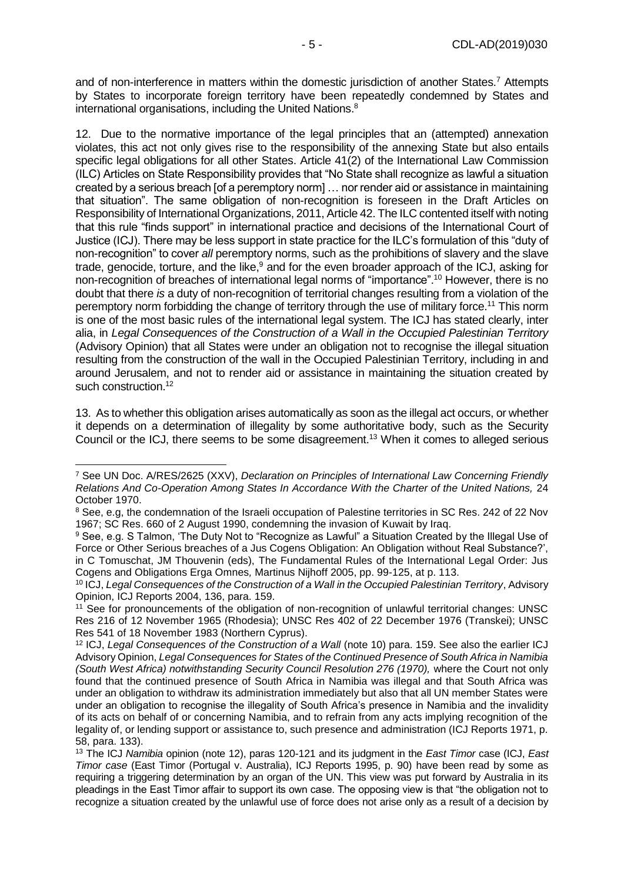and of non-interference in matters within the domestic jurisdiction of another States.<sup>7</sup> Attempts by States to incorporate foreign territory have been repeatedly condemned by States and international organisations, including the United Nations.<sup>8</sup>

<span id="page-4-2"></span>12. Due to the normative importance of the legal principles that an (attempted) annexation violates, this act not only gives rise to the responsibility of the annexing State but also entails specific legal obligations for all other States. Article 41(2) of the International Law Commission (ILC) Articles on State Responsibility provides that "No State shall recognize as lawful a situation created by a serious breach [of a peremptory norm] … nor render aid or assistance in maintaining that situation". The same obligation of non-recognition is foreseen in the Draft Articles on Responsibility of International Organizations, 2011, Article 42. The ILC contented itself with noting that this rule "finds support" in international practice and decisions of the International Court of Justice (ICJ). There may be less support in state practice for the ILC's formulation of this "duty of non-recognition" to cover *all* peremptory norms, such as the prohibitions of slavery and the slave trade, genocide, torture, and the like,<sup>9</sup> and for the even broader approach of the ICJ, asking for non-recognition of breaches of international legal norms of "importance".<sup>10</sup> However, there is no doubt that there *is* a duty of non-recognition of territorial changes resulting from a violation of the peremptory norm forbidding the change of territory through the use of military force.<sup>11</sup> This norm is one of the most basic rules of the international legal system. The ICJ has stated clearly, inter alia, in *Legal Consequences of the Construction of a Wall in the Occupied Palestinian Territory* (Advisory Opinion) that all States were under an obligation not to recognise the illegal situation resulting from the construction of the wall in the Occupied Palestinian Territory, including in and around Jerusalem, and not to render aid or assistance in maintaining the situation created by such construction.<sup>12</sup>

<span id="page-4-1"></span><span id="page-4-0"></span>13. As to whether this obligation arises automatically as soon as the illegal act occurs, or whether it depends on a determination of illegality by some authoritative body, such as the Security Council or the ICJ, there seems to be some disagreement.<sup>13</sup> When it comes to alleged serious

<sup>-</sup><sup>7</sup> See UN Doc. A/RES/2625 (XXV), *Declaration on Principles of International Law Concerning Friendly Relations And Co-Operation Among States In Accordance With the Charter of the United Nations,* 24 October 1970.

<sup>&</sup>lt;sup>8</sup> See, e.g. the condemnation of the Israeli occupation of Palestine territories in SC Res. 242 of 22 Nov 1967; SC Res. 660 of 2 August 1990, condemning the invasion of Kuwait by Iraq.

<sup>9</sup> See, e.g. S Talmon, 'The Duty Not to "Recognize as Lawful" a Situation Created by the Illegal Use of Force or Other Serious breaches of a Jus Cogens Obligation: An Obligation without Real Substance?', in C Tomuschat, JM Thouvenin (eds), The Fundamental Rules of the International Legal Order: Jus Cogens and Obligations Erga Omnes*,* Martinus Nijhoff 2005, pp. 99-125, at p. 113.

<sup>10</sup> ICJ, *Legal Consequences of the Construction of a Wall in the Occupied Palestinian Territory*, Advisory Opinion, ICJ Reports 2004, 136, para. 159.

<sup>11</sup> See for pronouncements of the obligation of non-recognition of unlawful territorial changes: UNSC Res 216 of 12 November 1965 (Rhodesia); UNSC Res 402 of 22 December 1976 (Transkei); UNSC Res 541 of 18 November 1983 (Northern Cyprus).

<sup>12</sup> ICJ, *Legal Consequences of the Construction of a Wall* (note [10\)](#page-4-0) para. 159. See also the earlier ICJ Advisory Opinion, *Legal Consequences for States of the Continued Presence of South Africa in Namibia (South West Africa) notwithstanding Security Council Resolution 276 (1970),* where the Court not only found that the continued presence of South Africa in Namibia was illegal and that South Africa was under an obligation to withdraw its administration immediately but also that all UN member States were under an obligation to recognise the illegality of South Africa's presence in Namibia and the invalidity of its acts on behalf of or concerning Namibia, and to refrain from any acts implying recognition of the legality of, or lending support or assistance to, such presence and administration (ICJ Reports 1971, p. 58, para. 133).

<sup>13</sup> The ICJ *Namibia* opinion (note [12\)](#page-4-1), paras 120-121 and its judgment in the *East Timor* case (ICJ, *East Timor case* (East Timor (Portugal v. Australia), ICJ Reports 1995, p. 90) have been read by some as requiring a triggering determination by an organ of the UN. This view was put forward by Australia in its pleadings in the East Timor affair to support its own case. The opposing view is that "the obligation not to recognize a situation created by the unlawful use of force does not arise only as a result of a decision by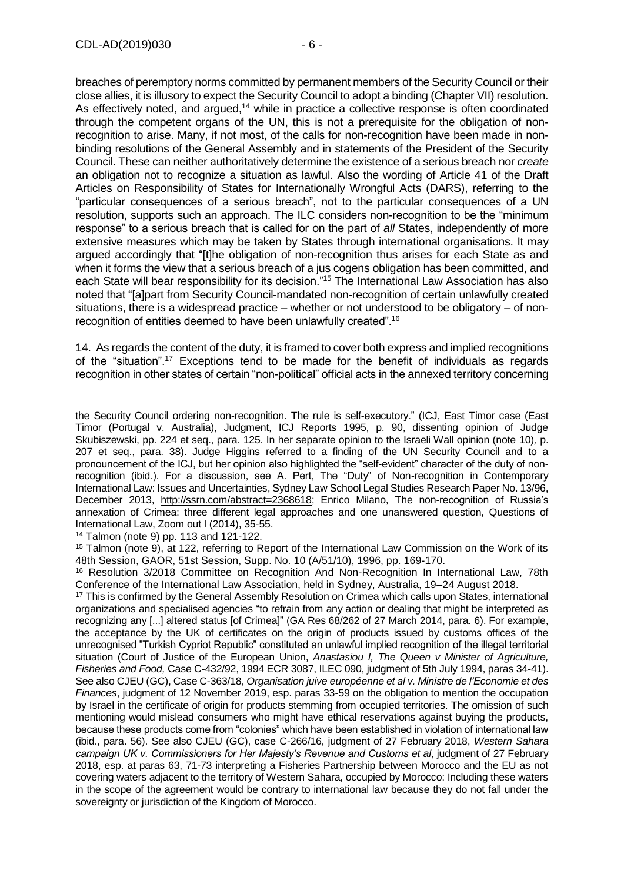breaches of peremptory norms committed by permanent members of the Security Council or their close allies, it is illusory to expect the Security Council to adopt a binding (Chapter VII) resolution. As effectively noted, and argued,<sup>14</sup> while in practice a collective response is often coordinated through the competent organs of the UN, this is not a prerequisite for the obligation of nonrecognition to arise. Many, if not most, of the calls for non-recognition have been made in nonbinding resolutions of the General Assembly and in statements of the President of the Security Council. These can neither authoritatively determine the existence of a serious breach nor *create* an obligation not to recognize a situation as lawful. Also the wording of Article 41 of the Draft Articles on Responsibility of States for Internationally Wrongful Acts (DARS), referring to the "particular consequences of a serious breach", not to the particular consequences of a UN resolution, supports such an approach. The ILC considers non-recognition to be the "minimum response" to a serious breach that is called for on the part of *all* States, independently of more extensive measures which may be taken by States through international organisations. It may argued accordingly that "[t]he obligation of non-recognition thus arises for each State as and when it forms the view that a serious breach of a jus cogens obligation has been committed, and each State will bear responsibility for its decision."<sup>15</sup> The International Law Association has also noted that "[a]part from Security Council-mandated non-recognition of certain unlawfully created situations, there is a widespread practice – whether or not understood to be obligatory – of nonrecognition of entities deemed to have been unlawfully created".<sup>16</sup>

14. As regards the content of the duty, it is framed to cover both express and implied recognitions of the "situation".<sup>17</sup> Exceptions tend to be made for the benefit of individuals as regards recognition in other states of certain "non-political" official acts in the annexed territory concerning

<sup>14</sup> Talmon (note [9\)](#page-4-2) pp. 113 and 121-122.

the Security Council ordering non-recognition. The rule is self-executory." (ICJ, East Timor case (East Timor (Portugal v. Australia), Judgment, ICJ Reports 1995, p. 90, dissenting opinion of Judge Skubiszewski, pp. 224 et seq., para. 125. In her separate opinion to the Israeli Wall opinion (note [10\)](#page-4-0)*,* p. 207 et seq., para. 38). Judge Higgins referred to a finding of the UN Security Council and to a pronouncement of the ICJ, but her opinion also highlighted the "self-evident" character of the duty of nonrecognition (ibid.). For a discussion, see A. Pert, The "Duty" of Non-recognition in Contemporary International Law: Issues and Uncertainties, Sydney Law School Legal Studies Research Paper No. 13/96, December 2013, [http://ssrn.com/abstract=2368618;](http://ssrn.com/abstract=2368618) Enrico Milano, The non-recognition of Russia's annexation of Crimea: three different legal approaches and one unanswered question, Questions of International Law, Zoom out I (2014), 35-55.

<sup>15</sup> Talmon (note [9\)](#page-4-2), at 122, referring to Report of the International Law Commission on the Work of its 48th Session, GAOR, 51st Session, Supp. No. 10 (A/51/10), 1996, pp. 169-170.

<sup>16</sup> Resolution 3/2018 Committee on Recognition And Non-Recognition In International Law, 78th Conference of the International Law Association, held in Sydney, Australia, 19–24 August 2018.

<sup>&</sup>lt;sup>17</sup> This is confirmed by the General Assembly Resolution on Crimea which calls upon States, international organizations and specialised agencies "to refrain from any action or dealing that might be interpreted as recognizing any [...] altered status [of Crimea]" (GA Res 68/262 of 27 March 2014, para. 6). For example, the acceptance by the UK of certificates on the origin of products issued by customs offices of the unrecognised "Turkish Cypriot Republic" constituted an unlawful implied recognition of the illegal territorial situation (Court of Justice of the European Union, *Anastasiou I, The Queen v Minister of Agriculture, Fisheries and Food,* Case C-432/92, 1994 ECR 3087, ILEC 090, judgment of 5th July 1994, paras 34-41). See also CJEU (GC), Case C-363/18, *Organisation juive européenne et al v. Ministre de l'Economie et des Finances*, judgment of 12 November 2019, esp. paras 33-59 on the obligation to mention the occupation by Israel in the certificate of origin for products stemming from occupied territories. The omission of such mentioning would mislead consumers who might have ethical reservations against buying the products, because these products come from "colonies" which have been established in violation of international law (ibid., para. 56). See also CJEU (GC), case C-266/16, judgment of 27 February 2018, *Western Sahara campaign UK v. Commissioners for Her Majesty's Revenue and Customs et al*, judgment of 27 February 2018, esp. at paras 63, 71-73 interpreting a Fisheries Partnership between Morocco and the EU as not covering waters adjacent to the territory of Western Sahara, occupied by Morocco: Including these waters in the scope of the agreement would be contrary to international law because they do not fall under the sovereignty or jurisdiction of the Kingdom of Morocco.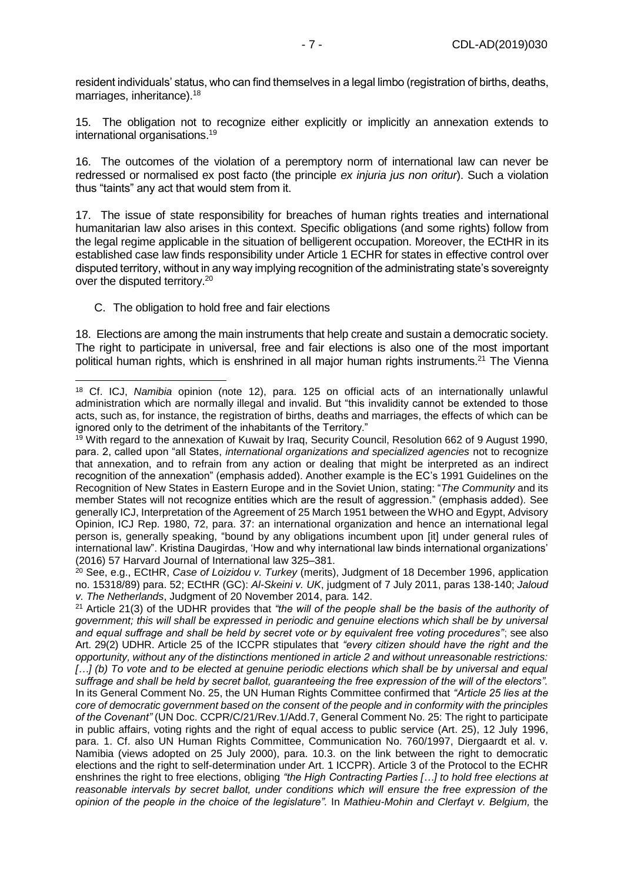resident individuals' status, who can find themselves in a legal limbo (registration of births, deaths, marriages, inheritance).<sup>18</sup>

15. The obligation not to recognize either explicitly or implicitly an annexation extends to international organisations.<sup>19</sup>

16. The outcomes of the violation of a peremptory norm of international law can never be redressed or normalised ex post facto (the principle *ex injuria jus non oritur*). Such a violation thus "taints" any act that would stem from it.

17. The issue of state responsibility for breaches of human rights treaties and international humanitarian law also arises in this context. Specific obligations (and some rights) follow from the legal regime applicable in the situation of belligerent occupation. Moreover, the ECtHR in its established case law finds responsibility under Article 1 ECHR for states in effective control over disputed territory, without in any way implying recognition of the administrating state's sovereignty over the disputed territory.<sup>20</sup>

#### C. The obligation to hold free and fair elections

18. Elections are among the main instruments that help create and sustain a democratic society. The right to participate in universal, free and fair elections is also one of the most important political human rights, which is enshrined in all major human rights instruments.<sup>21</sup> The Vienna

<sup>21</sup> Article 21(3) of the UDHR provides that *"the will of the people shall be the basis of the authority of government; this will shall be expressed in periodic and genuine elections which shall be by universal and equal suffrage and shall be held by secret vote or by equivalent free voting procedures"*; see also Art. 29(2) UDHR. Article 25 of the ICCPR stipulates that *"every citizen should have the right and the opportunity, without any of the distinctions mentioned in article 2 and without unreasonable restrictions: […] (b) To vote and to be elected at genuine periodic elections which shall be by universal and equal suffrage and shall be held by secret ballot, guaranteeing the free expression of the will of the electors".* In its General Comment No. 25, the UN Human Rights Committee confirmed that *"Article 25 lies at the core of democratic government based on the consent of the people and in conformity with the principles of the Covenant"* (UN Doc. CCPR/C/21/Rev.1/Add.7, General Comment No. 25: The right to participate in public affairs, voting rights and the right of equal access to public service (Art. 25), 12 July 1996, para. 1. Cf. also UN Human Rights Committee, Communication No. 760/1997, Diergaardt et al. v. Namibia (views adopted on 25 July 2000), para. 10.3. on the link between the right to democratic elections and the right to self-determination under Art. 1 ICCPR). Article 3 of the Protocol to the ECHR enshrines the right to free elections, obliging *"the High Contracting Parties […] to hold free elections at*  reasonable intervals by secret ballot, under conditions which will ensure the free expression of the *opinion of the people in the choice of the legislature".* In *Mathieu-Mohin and Clerfayt v. Belgium,* the

<sup>-</sup><sup>18</sup> Cf. ICJ, *Namibia* opinion (note [12\)](#page-4-1), para. 125 on official acts of an internationally unlawful administration which are normally illegal and invalid. But "this invalidity cannot be extended to those acts, such as, for instance, the registration of births, deaths and marriages, the effects of which can be ignored only to the detriment of the inhabitants of the Territory."

<sup>19</sup> With regard to the annexation of Kuwait by Iraq, Security Council, Resolution 662 of 9 August 1990, para. 2, called upon "all States, *international organizations and specialized agencies* not to recognize that annexation, and to refrain from any action or dealing that might be interpreted as an indirect recognition of the annexation" (emphasis added). Another example is the EC's 1991 Guidelines on the Recognition of New States in Eastern Europe and in the Soviet Union, stating: "*The Community* and its member States will not recognize entities which are the result of aggression." (emphasis added). See generally ICJ, Interpretation of the Agreement of 25 March 1951 between the WHO and Egypt, Advisory Opinion, ICJ Rep. 1980, 72, para. 37: an international organization and hence an international legal person is, generally speaking, "bound by any obligations incumbent upon [it] under general rules of international law". Kristina Daugirdas, 'How and why international law binds international organizations' (2016) 57 Harvard Journal of International law 325–381.

<sup>20</sup> See, e.g., ECtHR, *Case of Loizidou v. Turkey* (merits), Judgment of 18 December 1996, application no. 15318/89) para. 52; ECtHR (GC): *Al-Skeini v. UK*, judgment of 7 July 2011, paras 138-140; *Jaloud v. The Netherlands*, Judgment of 20 November 2014, para. 142.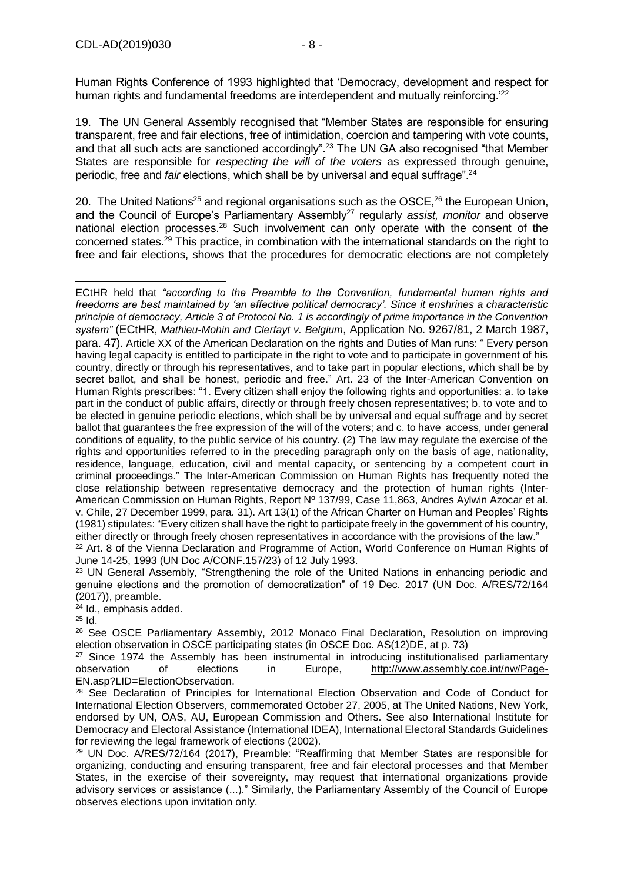19. The UN General Assembly recognised that "Member States are responsible for ensuring transparent, free and fair elections, free of intimidation, coercion and tampering with vote counts, and that all such acts are sanctioned accordingly".<sup>23</sup> The UN GA also recognised "that Member States are responsible for *respecting the will of the voters* as expressed through genuine, periodic, free and *fair* elections, which shall be by universal and equal suffrage".<sup>24</sup>

20. The United Nations<sup>25</sup> and regional organisations such as the OSCE,<sup>26</sup> the European Union, and the Council of Europe's Parliamentary Assembly<sup>27</sup> regularly *assist, monitor* and observe national election processes.<sup>28</sup> Such involvement can only operate with the consent of the concerned states.<sup>29</sup> This practice, in combination with the international standards on the right to free and fair elections, shows that the procedures for democratic elections are not completely

June 14-25, 1993 (UN Doc A/CONF.157/23) of 12 July 1993.

<sup>23</sup> UN General Assembly, "Strengthening the role of the United Nations in enhancing periodic and genuine elections and the promotion of democratization" of 19 Dec. 2017 (UN Doc. A/RES/72/164 (2017)), preamble.

<sup>24</sup> Id., emphasis added.

 $25$  Id.

<sup>26</sup> See OSCE Parliamentary Assembly, 2012 Monaco Final Declaration, Resolution on improving election observation in OSCE participating states (in OSCE Doc. AS(12)DE, at p. 73)

 $27$  Since 1974 the Assembly has been instrumental in introducing institutionalised parliamentary observation of elections in Europe, [http://www.assembly.coe.int/nw/Page-](http://www.assembly.coe.int/nw/Page-EN.asp?LID=ElectionObservation)[EN.asp?LID=ElectionObservation.](http://www.assembly.coe.int/nw/Page-EN.asp?LID=ElectionObservation)

<sup>28</sup> See Declaration of Principles for International Election Observation and Code of Conduct for International Election Observers, commemorated October 27, 2005, at The United Nations, New York, endorsed by UN, OAS, AU, European Commission and Others. See also International Institute for Democracy and Electoral Assistance (International IDEA), International Electoral Standards Guidelines for reviewing the legal framework of elections (2002).

<sup>29</sup> UN Doc. A/RES/72/164 (2017), Preamble: "Reaffirming that Member States are responsible for organizing, conducting and ensuring transparent, free and fair electoral processes and that Member States, in the exercise of their sovereignty, may request that international organizations provide advisory services or assistance (...)." Similarly, the Parliamentary Assembly of the Council of Europe observes elections upon invitation only.

<sup>-</sup>ECtHR held that *"according to the Preamble to the Convention, fundamental human rights and freedoms are best maintained by 'an effective political democracy'. Since it enshrines a characteristic principle of democracy, Article 3 of Protocol No. 1 is accordingly of prime importance in the Convention system"* (ECtHR, *Mathieu-Mohin and Clerfayt v. Belgium*, Application No. 9267/81, 2 March 1987, para. 47). Article XX of the American Declaration on the rights and Duties of Man runs: " Every person having legal capacity is entitled to participate in the right to vote and to participate in government of his country, directly or through his representatives, and to take part in popular elections, which shall be by secret ballot, and shall be honest, periodic and free." Art. 23 of the Inter-American Convention on Human Rights prescribes: "1. Every citizen shall enjoy the following rights and opportunities: a. to take part in the conduct of public affairs, directly or through freely chosen representatives; b. to vote and to be elected in genuine periodic elections, which shall be by universal and equal suffrage and by secret ballot that guarantees the free expression of the will of the voters; and c. to have access, under general conditions of equality, to the public service of his country. (2) The law may regulate the exercise of the rights and opportunities referred to in the preceding paragraph only on the basis of age, nationality, residence, language, education, civil and mental capacity, or sentencing by a competent court in criminal proceedings." The Inter-American Commission on Human Rights has frequently noted the close relationship between representative democracy and the protection of human rights (Inter-American Commission on Human Rights, Report Nº 137/99, Case 11,863, Andres Aylwin Azocar et al. v. Chile, 27 December 1999, para. 31). Art 13(1) of the African Charter on Human and Peoples' Rights (1981) stipulates: "Every citizen shall have the right to participate freely in the government of his country, either directly or through freely chosen representatives in accordance with the provisions of the law." <sup>22</sup> Art. 8 of the Vienna Declaration and Programme of Action, World Conference on Human Rights of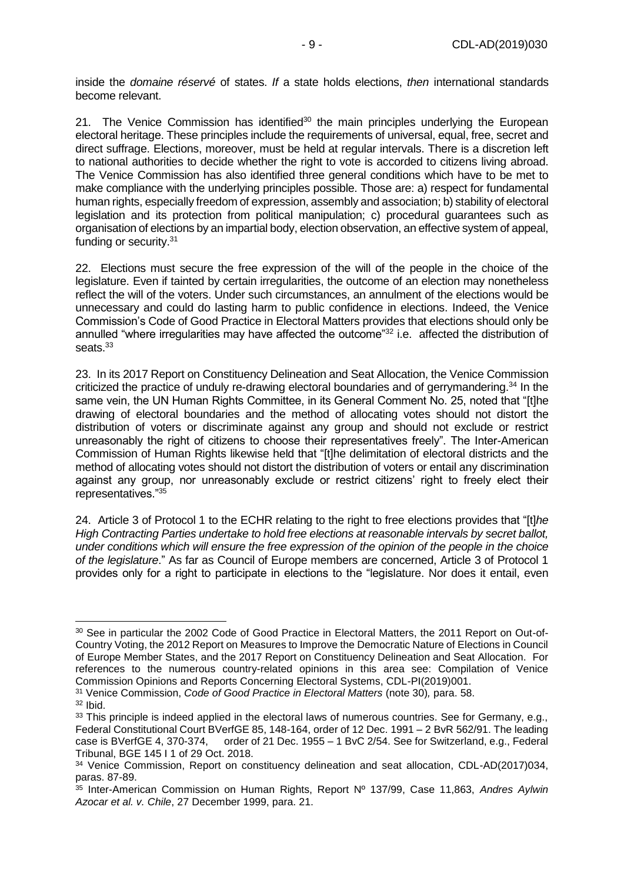inside the *domaine réservé* of states. *If* a state holds elections, *then* international standards become relevant.

<span id="page-8-0"></span>21. The Venice Commission has identified<sup>30</sup> the main principles underlying the European electoral heritage. These principles include the requirements of universal, equal, free, secret and direct suffrage. Elections, moreover, must be held at regular intervals. There is a discretion left to national authorities to decide whether the right to vote is accorded to citizens living abroad. The Venice Commission has also identified three general conditions which have to be met to make compliance with the underlying principles possible. Those are: a) respect for fundamental human rights, especially freedom of expression, assembly and association; b) stability of electoral legislation and its protection from political manipulation; c) procedural guarantees such as organisation of elections by an impartial body, election observation, an effective system of appeal, funding or security.<sup>31</sup>

<span id="page-8-1"></span>22. Elections must secure the free expression of the will of the people in the choice of the legislature. Even if tainted by certain irregularities, the outcome of an election may nonetheless reflect the will of the voters. Under such circumstances, an annulment of the elections would be unnecessary and could do lasting harm to public confidence in elections. Indeed, the Venice Commission's Code of Good Practice in Electoral Matters provides that elections should only be annulled "where irregularities may have affected the outcome"<sup>32</sup> i.e. affected the distribution of seats.<sup>33</sup>

<span id="page-8-2"></span>23. In its 2017 Report on Constituency Delineation and Seat Allocation, the Venice Commission criticized the practice of unduly re-drawing electoral boundaries and of gerrymandering.<sup>34</sup> In the same vein, the UN Human Rights Committee, in its General Comment No. 25, noted that "[t]he drawing of electoral boundaries and the method of allocating votes should not distort the distribution of voters or discriminate against any group and should not exclude or restrict unreasonably the right of citizens to choose their representatives freely". The Inter-American Commission of Human Rights likewise held that "[t]he delimitation of electoral districts and the method of allocating votes should not distort the distribution of voters or entail any discrimination against any group, nor unreasonably exclude or restrict citizens' right to freely elect their representatives."<sup>35</sup>

24. Article 3 of Protocol 1 to the ECHR relating to the right to free elections provides that "[t]*he High Contracting Parties undertake to hold free elections at reasonable intervals by secret ballot, under conditions which will ensure the free expression of the opinion of the people in the choice of the legislature*." As far as Council of Europe members are concerned, Article 3 of Protocol 1 provides only for a right to participate in elections to the "legislature. Nor does it entail, even

<sup>&</sup>lt;sup>30</sup> See in particular the 2002 Code of Good Practice in Electoral Matters, the 2011 Report on Out-of-Country Voting, the 2012 Report on Measures to Improve the Democratic Nature of Elections in Council of Europe Member States, and the 2017 Report on Constituency Delineation and Seat Allocation. For references to the numerous country-related opinions in this area see: Compilation of Venice Commission Opinions and Reports Concerning Electoral Systems, CDL-PI(2019)001.

<sup>31</sup> Venice Commission, *Code of Good Practice in Electoral Matters* (note [30\)](#page-8-0)*,* para. 58.

<sup>32</sup> Ibid.

<sup>33</sup> This principle is indeed applied in the electoral laws of numerous countries. See for Germany, e.g., Federal Constitutional Court BVerfGE 85, 148-164, order of 12 Dec. 1991 – 2 BvR 562/91. The leading case is BVerfGE 4, 370-374, order of 21 Dec. 1955 – 1 BvC 2/54. See for Switzerland, e.g., Federal Tribunal, BGE 145 I 1 of 29 Oct. 2018.

<sup>&</sup>lt;sup>34</sup> Venice Commission, Report on constituency delineation and seat allocation, CDL-AD(2017)034, paras. 87-89.

<sup>35</sup> Inter-American Commission on Human Rights, Report Nº 137/99, Case 11,863, *Andres Aylwin Azocar et al. v. Chile*, 27 December 1999, para. 21.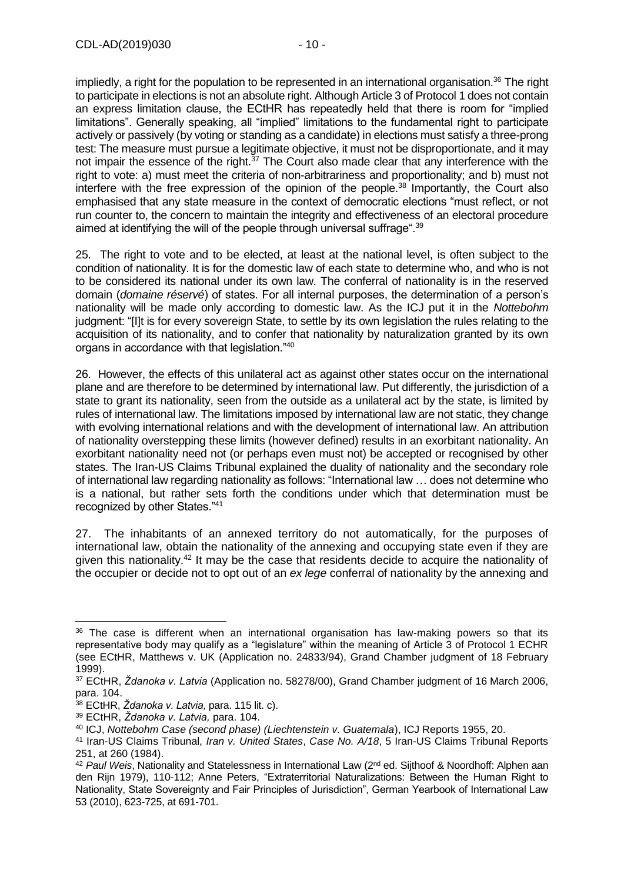impliedly, a right for the population to be represented in an international organisation.<sup>36</sup> The right to participate in elections is not an absolute right. Although Article 3 of Protocol 1 does not contain an express limitation clause, the ECtHR has repeatedly held that there is room for "implied limitations". Generally speaking, all "implied" limitations to the fundamental right to participate actively or passively (by voting or standing as a candidate) in elections must satisfy a three-prong test: The measure must pursue a legitimate objective, it must not be disproportionate, and it may not impair the essence of the right. $37$  The Court also made clear that any interference with the right to vote: a) must meet the criteria of non-arbitrariness and proportionality; and b) must not interfere with the free expression of the opinion of the people.<sup>38</sup> Importantly, the Court also emphasised that any state measure in the context of democratic elections "must reflect, or not run counter to, the concern to maintain the integrity and effectiveness of an electoral procedure aimed at identifying the will of the people through universal suffrage".<sup>39</sup>

25. The right to vote and to be elected, at least at the national level, is often subject to the condition of nationality. It is for the domestic law of each state to determine who, and who is not to be considered its national under its own law. The conferral of nationality is in the reserved domain (*domaine réservé*) of states. For all internal purposes, the determination of a person's nationality will be made only according to domestic law. As the ICJ put it in the *Nottebohm*  judgment: "[I]t is for every sovereign State, to settle by its own legislation the rules relating to the acquisition of its nationality, and to confer that nationality by naturalization granted by its own organs in accordance with that legislation."<sup>40</sup>

26. However, the effects of this unilateral act as against other states occur on the international plane and are therefore to be determined by international law. Put differently, the jurisdiction of a state to grant its nationality, seen from the outside as a unilateral act by the state, is limited by rules of international law. The limitations imposed by international law are not static, they change with evolving international relations and with the development of international law. An attribution of nationality overstepping these limits (however defined) results in an exorbitant nationality. An exorbitant nationality need not (or perhaps even must not) be accepted or recognised by other states. The Iran-US Claims Tribunal explained the duality of nationality and the secondary role of international law regarding nationality as follows: "International law … does not determine who is a national, but rather sets forth the conditions under which that determination must be recognized by other States."<sup>41</sup>

27. The inhabitants of an annexed territory do not automatically, for the purposes of international law, obtain the nationality of the annexing and occupying state even if they are given this nationality.<sup>42</sup> It may be the case that residents decide to acquire the nationality of the occupier or decide not to opt out of an *ex lege* conferral of nationality by the annexing and

 $36$  The case is different when an international organisation has law-making powers so that its representative body may qualify as a "legislature" within the meaning of Article 3 of Protocol 1 ECHR (see ECtHR, Matthews v. UK (Application no. 24833/94), Grand Chamber judgment of 18 February 1999).

<sup>37</sup> ECtHR, *Ždanoka v. Latvia* (Application no. 58278/00), Grand Chamber judgment of 16 March 2006, para. 104.

<sup>38</sup> ECtHR, *Ždanoka v. Latvia,* para. 115 lit. c).

<sup>39</sup> ECtHR, *Ždanoka v. Latvia,* para. 104.

<sup>40</sup> ICJ, *Nottebohm Case (second phase) (Liechtenstein v. Guatemala*), ICJ Reports 1955, 20.

<sup>41</sup> Iran-US Claims Tribunal, *Iran v. United States*, *Case No. A/18*, 5 Iran-US Claims Tribunal Reports 251, at 260 (1984).

<sup>42</sup> *Paul Weis*, Nationality and Statelessness in International Law (2nd ed. Sijthoof & Noordhoff: Alphen aan den Rijn 1979), 110-112; Anne Peters, "Extraterritorial Naturalizations: Between the Human Right to Nationality, State Sovereignty and Fair Principles of Jurisdiction", German Yearbook of International Law 53 (2010), 623-725, at 691-701.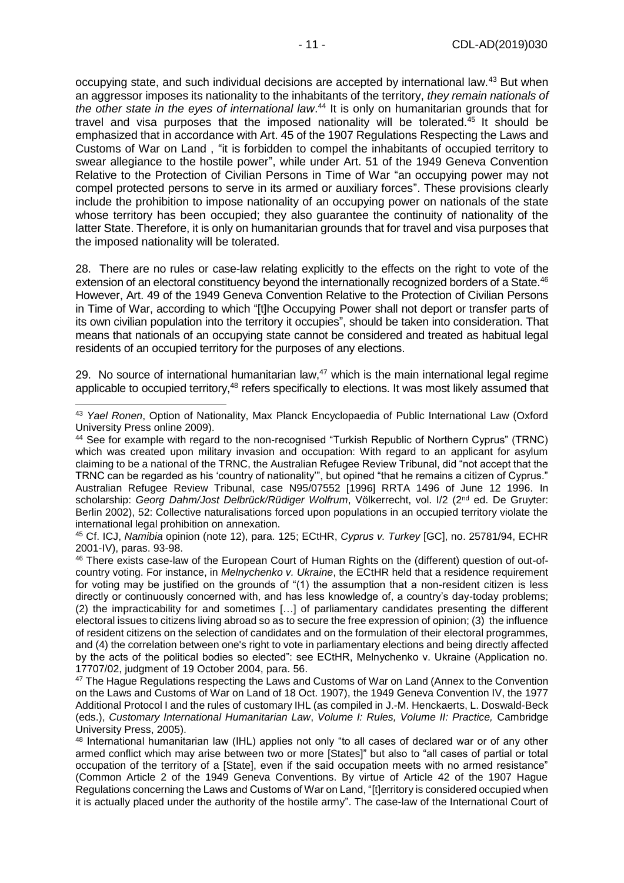occupying state, and such individual decisions are accepted by international law.<sup>43</sup> But when an aggressor imposes its nationality to the inhabitants of the territory, *they remain nationals of the other state in the eyes of international law*. <sup>44</sup> It is only on humanitarian grounds that for travel and visa purposes that the imposed nationality will be tolerated. $45$  It should be emphasized that in accordance with Art. 45 of the 1907 Regulations Respecting the Laws and Customs of War on Land , "it is forbidden to compel the inhabitants of occupied territory to swear allegiance to the hostile power", while under Art. 51 of the 1949 Geneva Convention Relative to the Protection of Civilian Persons in Time of War "an occupying power may not compel protected persons to serve in its armed or auxiliary forces". These provisions clearly include the prohibition to impose nationality of an occupying power on nationals of the state whose territory has been occupied; they also guarantee the continuity of nationality of the latter State. Therefore, it is only on humanitarian grounds that for travel and visa purposes that the imposed nationality will be tolerated.

28. There are no rules or case-law relating explicitly to the effects on the right to vote of the extension of an electoral constituency beyond the internationally recognized borders of a State.<sup>46</sup> However, Art. 49 of the 1949 Geneva Convention Relative to the Protection of Civilian Persons in Time of War, according to which "[t]he Occupying Power shall not deport or transfer parts of its own civilian population into the territory it occupies", should be taken into consideration. That means that nationals of an occupying state cannot be considered and treated as habitual legal residents of an occupied territory for the purposes of any elections.

<span id="page-10-0"></span>29. No source of international humanitarian law, $47$  which is the main international legal regime applicable to occupied territory,<sup>48</sup> refers specifically to elections. It was most likely assumed that

<sup>43</sup> *Yael Ronen*, Option of Nationality, Max Planck Encyclopaedia of Public International Law (Oxford University Press online 2009).

<sup>44</sup> See for example with regard to the non-recognised "Turkish Republic of Northern Cyprus" (TRNC) which was created upon military invasion and occupation: With regard to an applicant for asylum claiming to be a national of the TRNC, the Australian Refugee Review Tribunal, did "not accept that the TRNC can be regarded as his 'country of nationality'", but opined "that he remains a citizen of Cyprus." Australian Refugee Review Tribunal, case N95/07552 [1996] RRTA 1496 of June 12 1996. In scholarship: *Georg Dahm/Jost Delbrück/Rüdiger Wolfrum*, Völkerrecht, vol. I/2 (2nd ed. De Gruyter: Berlin 2002), 52: Collective naturalisations forced upon populations in an occupied territory violate the international legal prohibition on annexation.

<sup>45</sup> Cf. ICJ, *Namibia* opinion (note [12\)](#page-4-1), para. 125; ECtHR, *Cyprus v. Turkey* [GC], no. 25781/94, ECHR 2001-IV), paras. 93-98.

<sup>46</sup> There exists case-law of the European Court of Human Rights on the (different) question of out-ofcountry voting. For instance, in *Melnychenko v. Ukraine*, the ECtHR held that a residence requirement for voting may be justified on the grounds of "(1) the assumption that a non-resident citizen is less directly or continuously concerned with, and has less knowledge of, a country's day-today problems; (2) the impracticability for and sometimes […] of parliamentary candidates presenting the different electoral issues to citizens living abroad so as to secure the free expression of opinion; (3) the influence of resident citizens on the selection of candidates and on the formulation of their electoral programmes, and (4) the correlation between one's right to vote in parliamentary elections and being directly affected by the acts of the political bodies so elected": see ECtHR, Melnychenko v. Ukraine (Application no. 17707/02, judgment of 19 October 2004, para. 56.

<sup>&</sup>lt;sup>47</sup> The Hague Regulations respecting the Laws and Customs of War on Land (Annex to the Convention on the Laws and Customs of War on Land of 18 Oct. 1907), the 1949 Geneva Convention IV, the 1977 Additional Protocol I and the rules of customary IHL (as compiled in J.-M. Henckaerts, L. Doswald-Beck (eds.), *Customary International Humanitarian Law*, *Volume I: Rules, Volume II: Practice,* Cambridge University Press, 2005).

<sup>48</sup> International humanitarian law (IHL) applies not only "to all cases of declared war or of any other armed conflict which may arise between two or more [States]" but also to "all cases of partial or total occupation of the territory of a [State], even if the said occupation meets with no armed resistance" (Common Article 2 of the 1949 Geneva Conventions. By virtue of Article 42 of the 1907 Hague Regulations concerning the Laws and Customs of War on Land, "[t]erritory is considered occupied when it is actually placed under the authority of the hostile army". The case-law of the International Court of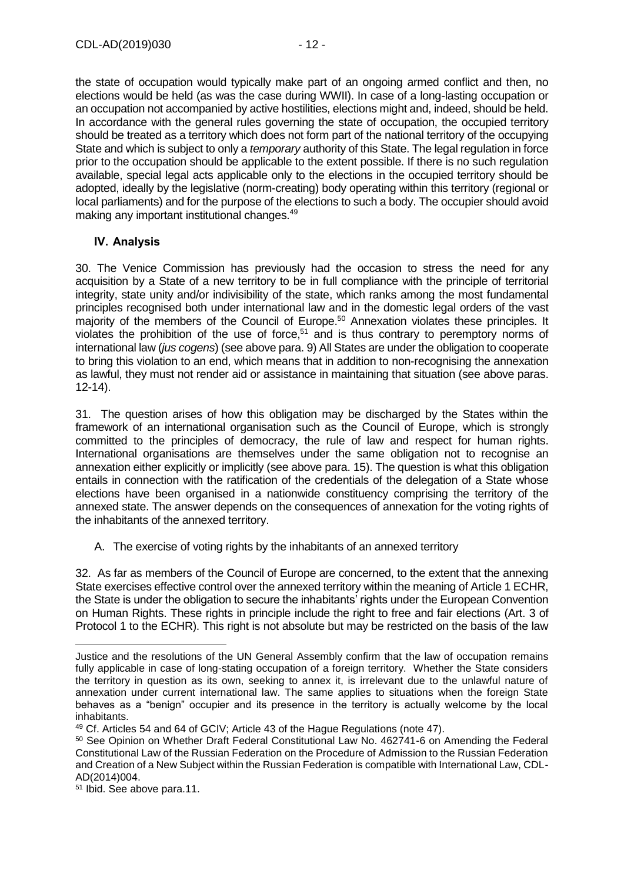the state of occupation would typically make part of an ongoing armed conflict and then, no elections would be held (as was the case during WWII). In case of a long-lasting occupation or an occupation not accompanied by active hostilities, elections might and, indeed, should be held. In accordance with the general rules governing the state of occupation, the occupied territory should be treated as a territory which does not form part of the national territory of the occupying State and which is subject to only a *temporary* authority of this State. The legal regulation in force prior to the occupation should be applicable to the extent possible. If there is no such regulation available, special legal acts applicable only to the elections in the occupied territory should be adopted, ideally by the legislative (norm-creating) body operating within this territory (regional or local parliaments) and for the purpose of the elections to such a body. The occupier should avoid making any important institutional changes.<sup>49</sup>

#### <span id="page-11-0"></span>**IV. Analysis**

30. The Venice Commission has previously had the occasion to stress the need for any acquisition by a State of a new territory to be in full compliance with the principle of territorial integrity, state unity and/or indivisibility of the state, which ranks among the most fundamental principles recognised both under international law and in the domestic legal orders of the vast majority of the members of the Council of Europe.<sup>50</sup> Annexation violates these principles. It violates the prohibition of the use of force, <sup>51</sup> and is thus contrary to peremptory norms of international law (*jus cogens*) (see above para. 9) All States are under the obligation to cooperate to bring this violation to an end, which means that in addition to non-recognising the annexation as lawful, they must not render aid or assistance in maintaining that situation (see above paras. 12-14).

31. The question arises of how this obligation may be discharged by the States within the framework of an international organisation such as the Council of Europe, which is strongly committed to the principles of democracy, the rule of law and respect for human rights. International organisations are themselves under the same obligation not to recognise an annexation either explicitly or implicitly (see above para. 15). The question is what this obligation entails in connection with the ratification of the credentials of the delegation of a State whose elections have been organised in a nationwide constituency comprising the territory of the annexed state. The answer depends on the consequences of annexation for the voting rights of the inhabitants of the annexed territory.

A. The exercise of voting rights by the inhabitants of an annexed territory

32. As far as members of the Council of Europe are concerned, to the extent that the annexing State exercises effective control over the annexed territory within the meaning of Article 1 ECHR, the State is under the obligation to secure the inhabitants' rights under the European Convention on Human Rights. These rights in principle include the right to free and fair elections (Art. 3 of Protocol 1 to the ECHR). This right is not absolute but may be restricted on the basis of the law

Justice and the resolutions of the UN General Assembly confirm that the law of occupation remains fully applicable in case of long-stating occupation of a foreign territory. Whether the State considers the territory in question as its own, seeking to annex it, is irrelevant due to the unlawful nature of annexation under current international law. The same applies to situations when the foreign State behaves as a "benign" occupier and its presence in the territory is actually welcome by the local inhabitants.

<sup>49</sup> Cf. Articles 54 and 64 of GCIV; Article 43 of the Hague Regulations (note [47\)](#page-10-0).

<sup>50</sup> See Opinion on Whether Draft Federal Constitutional Law No. 462741-6 on Amending the Federal Constitutional Law of the Russian Federation on the Procedure of Admission to the Russian Federation and Creation of a New Subject within the Russian Federation is compatible with International Law, CDL-AD(2014)004.

<sup>51</sup> Ibid. See above para.11.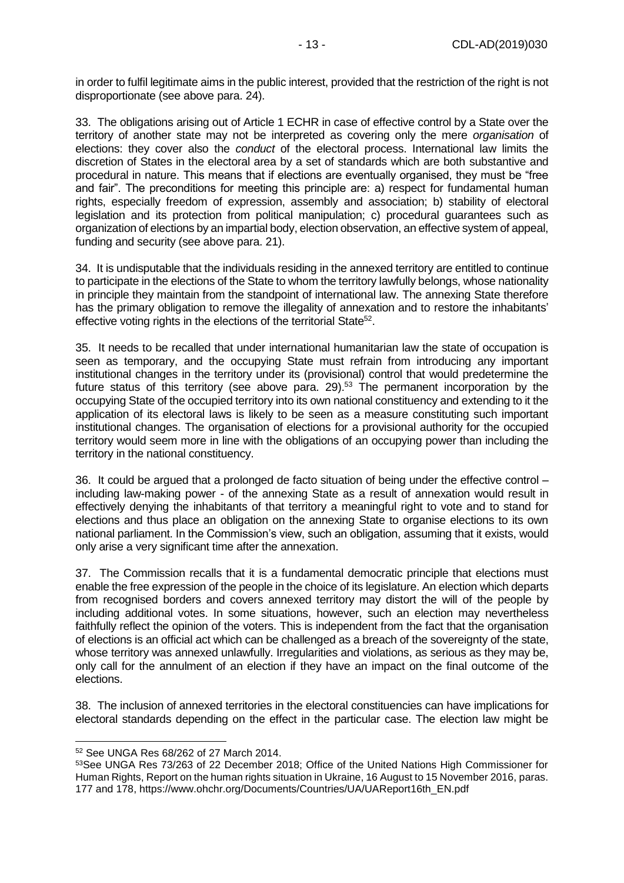in order to fulfil legitimate aims in the public interest, provided that the restriction of the right is not disproportionate (see above para. 24).

33. The obligations arising out of Article 1 ECHR in case of effective control by a State over the territory of another state may not be interpreted as covering only the mere *organisation* of elections: they cover also the *conduct* of the electoral process. International law limits the discretion of States in the electoral area by a set of standards which are both substantive and procedural in nature. This means that if elections are eventually organised, they must be "free and fair". The preconditions for meeting this principle are: a) respect for fundamental human rights, especially freedom of expression, assembly and association; b) stability of electoral legislation and its protection from political manipulation; c) procedural guarantees such as organization of elections by an impartial body, election observation, an effective system of appeal, funding and security (see above para. 21).

34. It is undisputable that the individuals residing in the annexed territory are entitled to continue to participate in the elections of the State to whom the territory lawfully belongs, whose nationality in principle they maintain from the standpoint of international law. The annexing State therefore has the primary obligation to remove the illegality of annexation and to restore the inhabitants' effective voting rights in the elections of the territorial State<sup>52</sup>.

35. It needs to be recalled that under international humanitarian law the state of occupation is seen as temporary, and the occupying State must refrain from introducing any important institutional changes in the territory under its (provisional) control that would predetermine the future status of this territory (see above para. 29).<sup>53</sup> The permanent incorporation by the occupying State of the occupied territory into its own national constituency and extending to it the application of its electoral laws is likely to be seen as a measure constituting such important institutional changes. The organisation of elections for a provisional authority for the occupied territory would seem more in line with the obligations of an occupying power than including the territory in the national constituency.

36. It could be argued that a prolonged de facto situation of being under the effective control – including law-making power - of the annexing State as a result of annexation would result in effectively denying the inhabitants of that territory a meaningful right to vote and to stand for elections and thus place an obligation on the annexing State to organise elections to its own national parliament. In the Commission's view, such an obligation, assuming that it exists, would only arise a very significant time after the annexation.

37. The Commission recalls that it is a fundamental democratic principle that elections must enable the free expression of the people in the choice of its legislature. An election which departs from recognised borders and covers annexed territory may distort the will of the people by including additional votes. In some situations, however, such an election may nevertheless faithfully reflect the opinion of the voters. This is independent from the fact that the organisation of elections is an official act which can be challenged as a breach of the sovereignty of the state, whose territory was annexed unlawfully. Irregularities and violations, as serious as they may be, only call for the annulment of an election if they have an impact on the final outcome of the elections.

38. The inclusion of annexed territories in the electoral constituencies can have implications for electoral standards depending on the effect in the particular case. The election law might be

<sup>52</sup> See UNGA Res 68/262 of 27 March 2014.

<sup>53</sup>See UNGA Res 73/263 of 22 December 2018; Office of the United Nations High Commissioner for Human Rights, Report on the human rights situation in Ukraine, 16 August to 15 November 2016, paras. 177 and 178, https://www.ohchr.org/Documents/Countries/UA/UAReport16th\_EN.pdf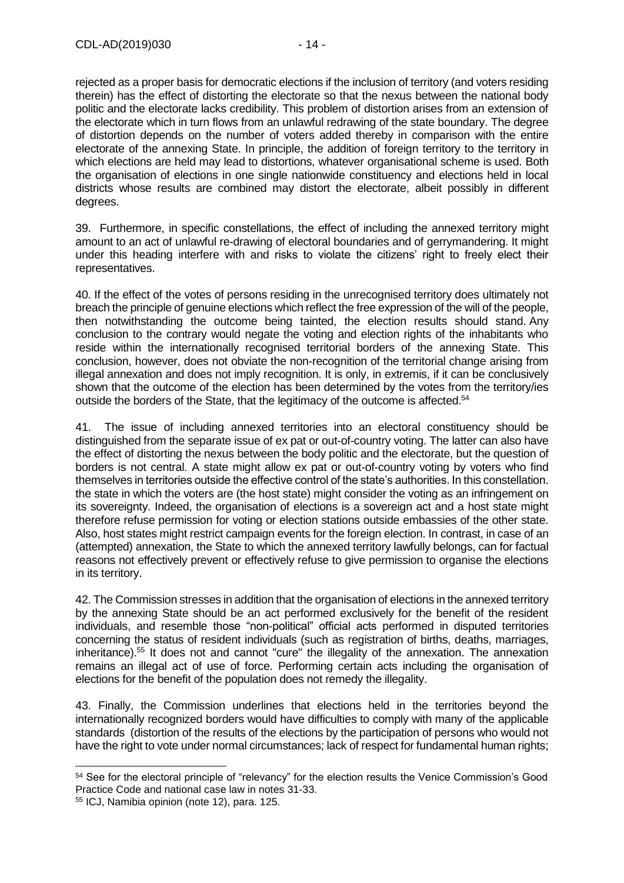rejected as a proper basis for democratic elections if the inclusion of territory (and voters residing therein) has the effect of distorting the electorate so that the nexus between the national body politic and the electorate lacks credibility. This problem of distortion arises from an extension of the electorate which in turn flows from an unlawful redrawing of the state boundary. The degree of distortion depends on the number of voters added thereby in comparison with the entire electorate of the annexing State. In principle, the addition of foreign territory to the territory in which elections are held may lead to distortions, whatever organisational scheme is used. Both the organisation of elections in one single nationwide constituency and elections held in local districts whose results are combined may distort the electorate, albeit possibly in different degrees.

39. Furthermore, in specific constellations, the effect of including the annexed territory might amount to an act of unlawful re-drawing of electoral boundaries and of gerrymandering. It might under this heading interfere with and risks to violate the citizens' right to freely elect their representatives.

40. If the effect of the votes of persons residing in the unrecognised territory does ultimately not breach the principle of genuine elections which reflect the free expression of the will of the people, then notwithstanding the outcome being tainted, the election results should stand. Any conclusion to the contrary would negate the voting and election rights of the inhabitants who reside within the internationally recognised territorial borders of the annexing State. This conclusion, however, does not obviate the non-recognition of the territorial change arising from illegal annexation and does not imply recognition. It is only, in extremis, if it can be conclusively shown that the outcome of the election has been determined by the votes from the territory/ies outside the borders of the State, that the legitimacy of the outcome is affected.<sup>54</sup>

41. The issue of including annexed territories into an electoral constituency should be distinguished from the separate issue of ex pat or out-of-country voting. The latter can also have the effect of distorting the nexus between the body politic and the electorate, but the question of borders is not central. A state might allow ex pat or out-of-country voting by voters who find themselves in territories outside the effective control of the state's authorities. In this constellation. the state in which the voters are (the host state) might consider the voting as an infringement on its sovereignty. Indeed, the organisation of elections is a sovereign act and a host state might therefore refuse permission for voting or election stations outside embassies of the other state. Also, host states might restrict campaign events for the foreign election. In contrast, in case of an (attempted) annexation, the State to which the annexed territory lawfully belongs, can for factual reasons not effectively prevent or effectively refuse to give permission to organise the elections in its territory.

42. The Commission stresses in addition that the organisation of elections in the annexed territory by the annexing State should be an act performed exclusively for the benefit of the resident individuals, and resemble those "non-political" official acts performed in disputed territories concerning the status of resident individuals (such as registration of births, deaths, marriages, inheritance). <sup>55</sup> It does not and cannot "cure" the illegality of the annexation. The annexation remains an illegal act of use of force. Performing certain acts including the organisation of elections for the benefit of the population does not remedy the illegality.

43. Finally, the Commission underlines that elections held in the territories beyond the internationally recognized borders would have difficulties to comply with many of the applicable standards (distortion of the results of the elections by the participation of persons who would not have the right to vote under normal circumstances; lack of respect for fundamental human rights;

<sup>54</sup> See for the electoral principle of "relevancy" for the election results the Venice Commission's Good Practice Code and national case law in notes [31-](#page-8-1)[33.](#page-8-2)

<sup>55</sup> ICJ, Namibia opinion (note [12\)](#page-4-1), para. 125.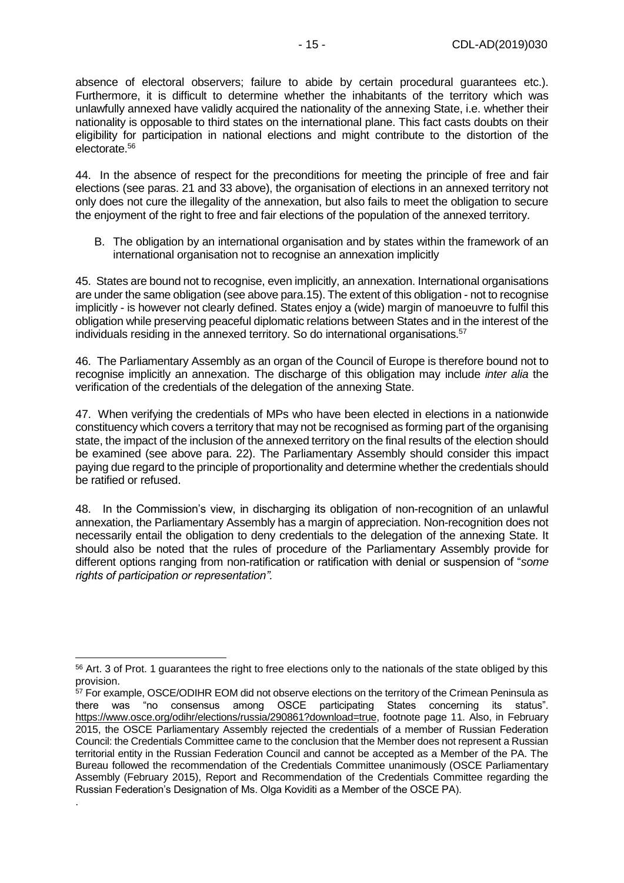absence of electoral observers; failure to abide by certain procedural guarantees etc.). Furthermore, it is difficult to determine whether the inhabitants of the territory which was unlawfully annexed have validly acquired the nationality of the annexing State, i.e. whether their nationality is opposable to third states on the international plane. This fact casts doubts on their eligibility for participation in national elections and might contribute to the distortion of the electorate.<sup>56</sup>

44. In the absence of respect for the preconditions for meeting the principle of free and fair elections (see paras. 21 and 33 above), the organisation of elections in an annexed territory not only does not cure the illegality of the annexation, but also fails to meet the obligation to secure the enjoyment of the right to free and fair elections of the population of the annexed territory.

B. The obligation by an international organisation and by states within the framework of an international organisation not to recognise an annexation implicitly

45. States are bound not to recognise, even implicitly, an annexation. International organisations are under the same obligation (see above para.15). The extent of this obligation - not to recognise implicitly - is however not clearly defined. States enjoy a (wide) margin of manoeuvre to fulfil this obligation while preserving peaceful diplomatic relations between States and in the interest of the individuals residing in the annexed territory. So do international organisations.<sup>57</sup>

46. The Parliamentary Assembly as an organ of the Council of Europe is therefore bound not to recognise implicitly an annexation. The discharge of this obligation may include *inter alia* the verification of the credentials of the delegation of the annexing State.

47. When verifying the credentials of MPs who have been elected in elections in a nationwide constituency which covers a territory that may not be recognised as forming part of the organising state, the impact of the inclusion of the annexed territory on the final results of the election should be examined (see above para. 22). The Parliamentary Assembly should consider this impact paying due regard to the principle of proportionality and determine whether the credentials should be ratified or refused.

48. In the Commission's view, in discharging its obligation of non-recognition of an unlawful annexation, the Parliamentary Assembly has a margin of appreciation. Non-recognition does not necessarily entail the obligation to deny credentials to the delegation of the annexing State. It should also be noted that the rules of procedure of the Parliamentary Assembly provide for different options ranging from non-ratification or ratification with denial or suspension of "*some rights of participation or representation".*

<span id="page-14-0"></span>-

.

<sup>&</sup>lt;sup>56</sup> Art. 3 of Prot. 1 guarantees the right to free elections only to the nationals of the state obliged by this provision.

<sup>&</sup>lt;sup>57</sup> For example, OSCE/ODIHR EOM did not observe elections on the territory of the Crimean Peninsula as there was "no consensus among OSCE participating States concerning its status". [https://www.osce.org/odihr/elections/russia/290861?download=true,](https://www.osce.org/odihr/elections/russia/290861?download=true) footnote page 11. Also, in February 2015, the OSCE Parliamentary Assembly rejected the credentials of a member of Russian Federation Council: the Credentials Committee came to the conclusion that the Member does not represent a Russian territorial entity in the Russian Federation Council and cannot be accepted as a Member of the PA. The Bureau followed the recommendation of the Credentials Committee unanimously (OSCE Parliamentary Assembly (February 2015), Report and Recommendation of the Credentials Committee regarding the Russian Federation's Designation of Ms. Olga Koviditi as a Member of the OSCE PA).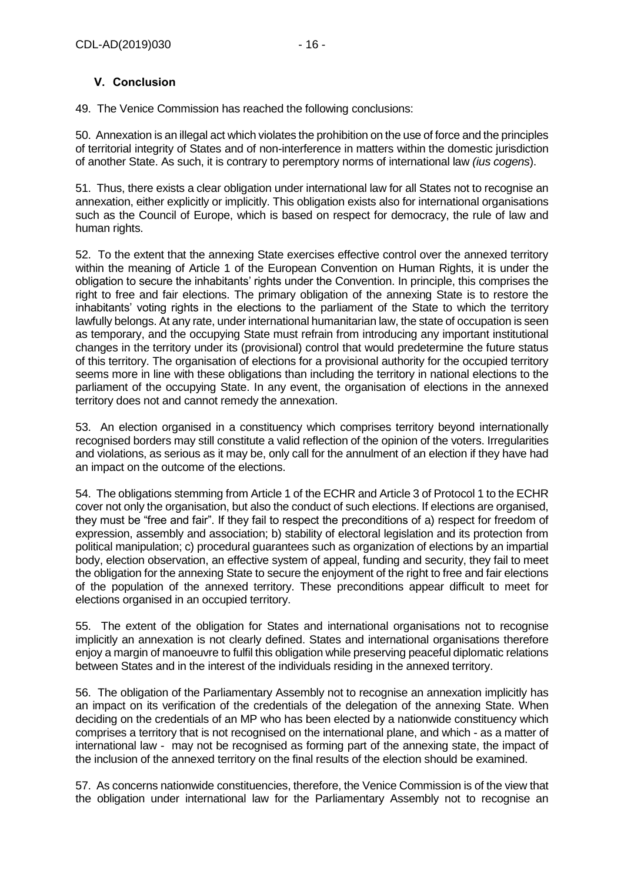#### **V. Conclusion**

49. The Venice Commission has reached the following conclusions:

50. Annexation is an illegal act which violates the prohibition on the use of force and the principles of territorial integrity of States and of non-interference in matters within the domestic jurisdiction of another State. As such, it is contrary to peremptory norms of international law *(ius cogens*).

51. Thus, there exists a clear obligation under international law for all States not to recognise an annexation, either explicitly or implicitly. This obligation exists also for international organisations such as the Council of Europe, which is based on respect for democracy, the rule of law and human rights.

52. To the extent that the annexing State exercises effective control over the annexed territory within the meaning of Article 1 of the European Convention on Human Rights, it is under the obligation to secure the inhabitants' rights under the Convention. In principle, this comprises the right to free and fair elections. The primary obligation of the annexing State is to restore the inhabitants' voting rights in the elections to the parliament of the State to which the territory lawfully belongs. At any rate, under international humanitarian law, the state of occupation is seen as temporary, and the occupying State must refrain from introducing any important institutional changes in the territory under its (provisional) control that would predetermine the future status of this territory. The organisation of elections for a provisional authority for the occupied territory seems more in line with these obligations than including the territory in national elections to the parliament of the occupying State. In any event, the organisation of elections in the annexed territory does not and cannot remedy the annexation.

53. An election organised in a constituency which comprises territory beyond internationally recognised borders may still constitute a valid reflection of the opinion of the voters. Irregularities and violations, as serious as it may be, only call for the annulment of an election if they have had an impact on the outcome of the elections.

54. The obligations stemming from Article 1 of the ECHR and Article 3 of Protocol 1 to the ECHR cover not only the organisation, but also the conduct of such elections. If elections are organised, they must be "free and fair". If they fail to respect the preconditions of a) respect for freedom of expression, assembly and association; b) stability of electoral legislation and its protection from political manipulation; c) procedural guarantees such as organization of elections by an impartial body, election observation, an effective system of appeal, funding and security, they fail to meet the obligation for the annexing State to secure the enjoyment of the right to free and fair elections of the population of the annexed territory. These preconditions appear difficult to meet for elections organised in an occupied territory.

55. The extent of the obligation for States and international organisations not to recognise implicitly an annexation is not clearly defined. States and international organisations therefore enjoy a margin of manoeuvre to fulfil this obligation while preserving peaceful diplomatic relations between States and in the interest of the individuals residing in the annexed territory.

56. The obligation of the Parliamentary Assembly not to recognise an annexation implicitly has an impact on its verification of the credentials of the delegation of the annexing State. When deciding on the credentials of an MP who has been elected by a nationwide constituency which comprises a territory that is not recognised on the international plane, and which - as a matter of international law - may not be recognised as forming part of the annexing state, the impact of the inclusion of the annexed territory on the final results of the election should be examined.

57. As concerns nationwide constituencies, therefore, the Venice Commission is of the view that the obligation under international law for the Parliamentary Assembly not to recognise an